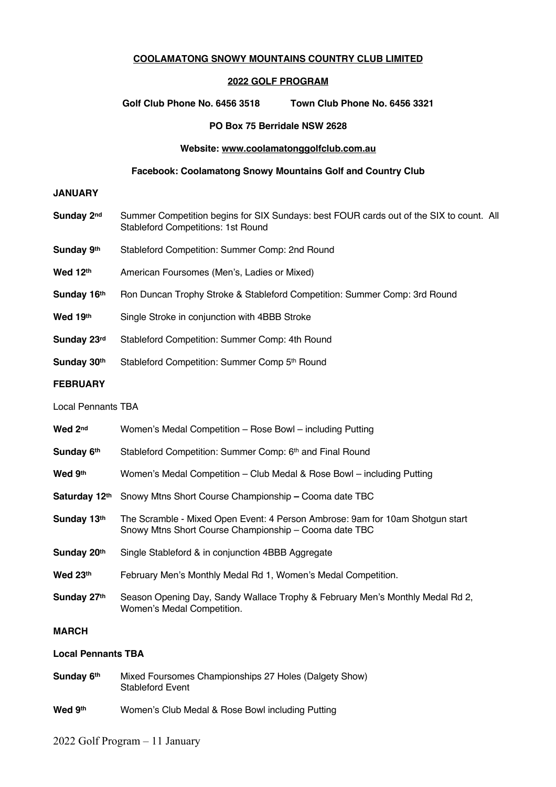#### **COOLAMATONG SNOWY MOUNTAINS COUNTRY CLUB LIMITED**

#### **2022 GOLF PROGRAM**

**Golf Club Phone No. 6456 3518 Town Club Phone No. 6456 3321**

#### **PO Box 75 Berridale NSW 2628**

#### **Website: www.coolamatonggolfclub.com.au**

#### **Facebook: Coolamatong Snowy Mountains Golf and Country Club**

#### **JANUARY**

- **Sunday 2nd** Summer Competition begins for SIX Sundays: best FOUR cards out of the SIX to count. All Stableford Competitions: 1st Round
- **Sunday 9th** Stableford Competition: Summer Comp: 2nd Round
- Wed 12<sup>th</sup> American Foursomes (Men's, Ladies or Mixed)
- **Sunday 16<sup>th</sup>** Ron Duncan Trophy Stroke & Stableford Competition: Summer Comp: 3rd Round
- Wed 19<sup>th</sup> Single Stroke in conjunction with 4BBB Stroke
- **Sunday 23rd** Stableford Competition: Summer Comp: 4th Round
- **Sunday 30<sup>th</sup>** Stableford Competition: Summer Comp 5<sup>th</sup> Round

### **FEBRUARY**

#### Local Pennants TBA

| Wed 2nd                   | Women's Medal Competition – Rose Bowl – including Putting                                                                              |
|---------------------------|----------------------------------------------------------------------------------------------------------------------------------------|
| Sunday 6th                | Stableford Competition: Summer Comp: 6th and Final Round                                                                               |
| Wed 9th                   | Women's Medal Competition – Club Medal & Rose Bowl – including Putting                                                                 |
| Saturday 12th             | Snowy Mtns Short Course Championship – Cooma date TBC                                                                                  |
| Sunday 13th               | The Scramble - Mixed Open Event: 4 Person Ambrose: 9am for 10am Shotgun start<br>Snowy Mtns Short Course Championship - Cooma date TBC |
| Sunday 20th               | Single Stableford & in conjunction 4BBB Aggregate                                                                                      |
| Wed $23th$                | February Men's Monthly Medal Rd 1, Women's Medal Competition.                                                                          |
| Sunday 27th               | Season Opening Day, Sandy Wallace Trophy & February Men's Monthly Medal Rd 2,<br>Women's Medal Competition.                            |
| <b>MARCH</b>              |                                                                                                                                        |
| <b>Local Pennants TBA</b> |                                                                                                                                        |

- **Sunday 6th** Mixed Foursomes Championships 27 Holes (Dalgety Show) Stableford Event
- **Wed 9th** Women's Club Medal & Rose Bowl including Putting

#### 2022 Golf Program – 11 January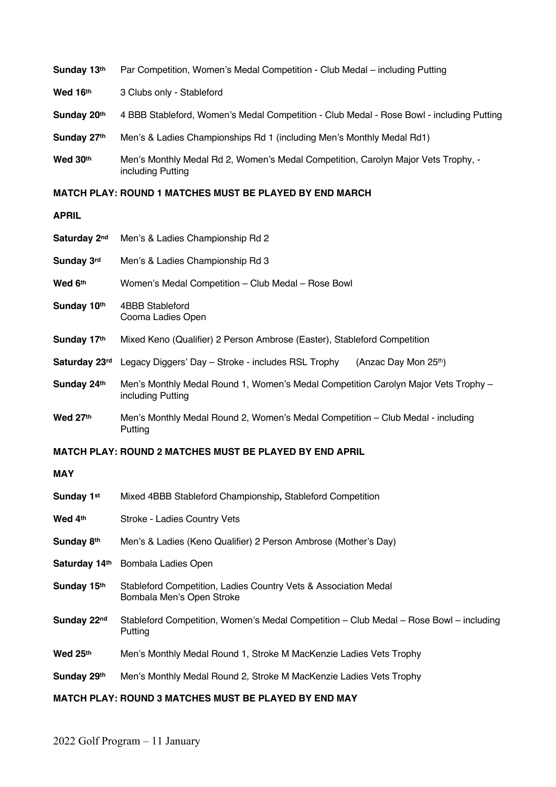| Sunday 13th                                                  | Par Competition, Women's Medal Competition - Club Medal – including Putting                             |
|--------------------------------------------------------------|---------------------------------------------------------------------------------------------------------|
| Wed 16th                                                     | 3 Clubs only - Stableford                                                                               |
| Sunday 20th                                                  | 4 BBB Stableford, Women's Medal Competition - Club Medal - Rose Bowl - including Putting                |
| Sunday 27th                                                  | Men's & Ladies Championships Rd 1 (including Men's Monthly Medal Rd1)                                   |
| Wed 30th                                                     | Men's Monthly Medal Rd 2, Women's Medal Competition, Carolyn Major Vets Trophy, -<br>including Putting  |
|                                                              | <b>MATCH PLAY: ROUND 1 MATCHES MUST BE PLAYED BY END MARCH</b>                                          |
| <b>APRIL</b>                                                 |                                                                                                         |
| Saturday 2nd                                                 | Men's & Ladies Championship Rd 2                                                                        |
| Sunday 3rd                                                   | Men's & Ladies Championship Rd 3                                                                        |
| Wed 6th                                                      | Women's Medal Competition - Club Medal - Rose Bowl                                                      |
| Sunday 10th                                                  | 4BBB Stableford<br>Cooma Ladies Open                                                                    |
| Sunday 17th                                                  | Mixed Keno (Qualifier) 2 Person Ambrose (Easter), Stableford Competition                                |
| Saturday 23rd                                                | Legacy Diggers' Day - Stroke - includes RSL Trophy<br>(Anzac Day Mon 25th)                              |
| Sunday 24th                                                  | Men's Monthly Medal Round 1, Women's Medal Competition Carolyn Major Vets Trophy -<br>including Putting |
| Wed 27th                                                     | Men's Monthly Medal Round 2, Women's Medal Competition - Club Medal - including<br>Putting              |
|                                                              | <b>MATCH PLAY: ROUND 2 MATCHES MUST BE PLAYED BY END APRIL</b>                                          |
| <b>MAY</b>                                                   |                                                                                                         |
| Sunday 1st                                                   | Mixed 4BBB Stableford Championship, Stableford Competition                                              |
| Wed 4th                                                      | Stroke - Ladies Country Vets                                                                            |
| Sunday 8th                                                   | Men's & Ladies (Keno Qualifier) 2 Person Ambrose (Mother's Day)                                         |
| Saturday 14th                                                | Bombala Ladies Open                                                                                     |
| Sunday 15th                                                  | Stableford Competition, Ladies Country Vets & Association Medal<br>Bombala Men's Open Stroke            |
| Sunday 22nd                                                  | Stableford Competition, Women's Medal Competition – Club Medal – Rose Bowl – including<br>Putting       |
| Wed 25th                                                     | Men's Monthly Medal Round 1, Stroke M MacKenzie Ladies Vets Trophy                                      |
| Sunday 29th                                                  | Men's Monthly Medal Round 2, Stroke M MacKenzie Ladies Vets Trophy                                      |
| <b>MATCH PLAY: ROUND 3 MATCHES MUST BE PLAYED BY END MAY</b> |                                                                                                         |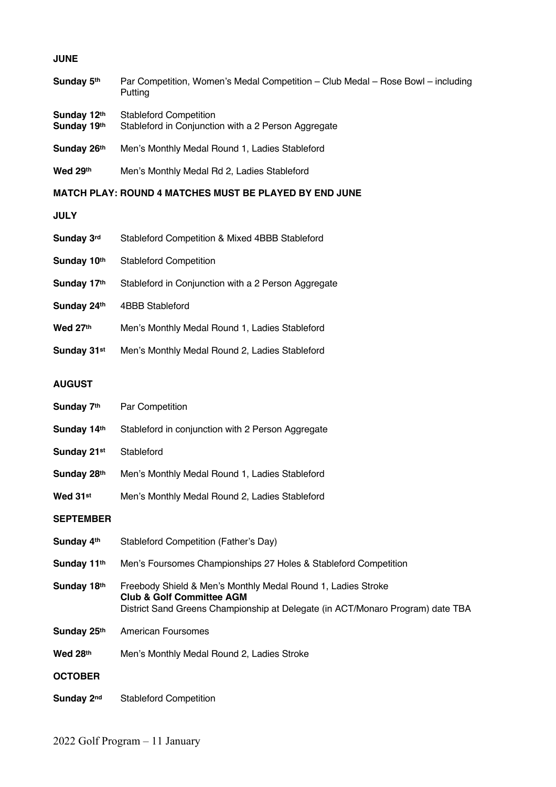### **JUNE**

| Sunday 5th | Par Competition, Women's Medal Competition – Club Medal – Rose Bowl – including |
|------------|---------------------------------------------------------------------------------|
|            | Putting                                                                         |

- **Sunday 12<sup>th</sup>** Stableford Competition<br>**Sunday 19<sup>th</sup>** Stableford in Conjunction
- Stableford in Conjunction with a 2 Person Aggregate
- **Sunday 26th** Men's Monthly Medal Round 1, Ladies Stableford
- **Wed 29th** Men's Monthly Medal Rd 2, Ladies Stableford

### **MATCH PLAY: ROUND 4 MATCHES MUST BE PLAYED BY END JUNE**

**JULY**

| Sunday 3rd  | Stableford Competition & Mixed 4BBB Stableford      |
|-------------|-----------------------------------------------------|
| Sunday 10th | <b>Stableford Competition</b>                       |
| Sunday 17th | Stableford in Conjunction with a 2 Person Aggregate |
| Sunday 24th | 4BBB Stableford                                     |
| Wed 27th    | Men's Monthly Medal Round 1, Ladies Stableford      |
| Sunday 31st | Men's Monthly Medal Round 2, Ladies Stableford      |

### **AUGUST**

| Sunday 7th       | Par Competition                                                                                                                                                                        |
|------------------|----------------------------------------------------------------------------------------------------------------------------------------------------------------------------------------|
| Sunday 14th      | Stableford in conjunction with 2 Person Aggregate                                                                                                                                      |
| Sunday 21st      | Stableford                                                                                                                                                                             |
| Sunday 28th      | Men's Monthly Medal Round 1, Ladies Stableford                                                                                                                                         |
| Wed 31st         | Men's Monthly Medal Round 2, Ladies Stableford                                                                                                                                         |
| <b>SEPTEMBER</b> |                                                                                                                                                                                        |
| Sunday 4th       | Stableford Competition (Father's Day)                                                                                                                                                  |
| Sunday 11th      | Men's Foursomes Championships 27 Holes & Stableford Competition                                                                                                                        |
| Sunday 18th      | Freebody Shield & Men's Monthly Medal Round 1, Ladies Stroke<br><b>Club &amp; Golf Committee AGM</b><br>District Sand Greens Championship at Delegate (in ACT/Monaro Program) date TBA |
| Sunday 25th      | American Foursomes                                                                                                                                                                     |
| Wed 28th         | Men's Monthly Medal Round 2, Ladies Stroke                                                                                                                                             |
| <b>OCTOBER</b>   |                                                                                                                                                                                        |
| Sunday 2nd       | <b>Stableford Competition</b>                                                                                                                                                          |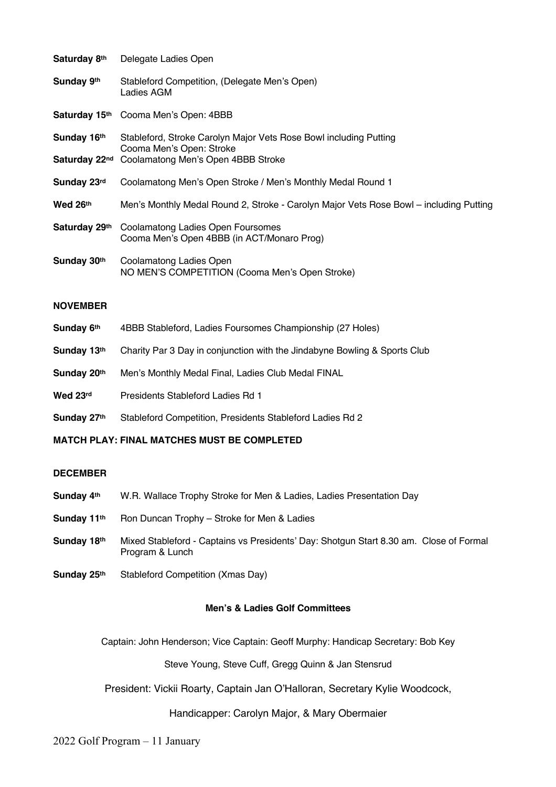| Saturday 8th  | Delegate Ladies Open                                                                          |
|---------------|-----------------------------------------------------------------------------------------------|
| Sunday 9th    | Stableford Competition, (Delegate Men's Open)<br>Ladies AGM                                   |
|               | Saturday 15th Cooma Men's Open: 4BBB                                                          |
| Sunday 16th   | Stableford, Stroke Carolyn Major Vets Rose Bowl including Putting<br>Cooma Men's Open: Stroke |
|               | Saturday 22 <sup>nd</sup> Coolamatong Men's Open 4BBB Stroke                                  |
| Sunday 23rd   | Coolamatong Men's Open Stroke / Men's Monthly Medal Round 1                                   |
| Wed 26th      | Men's Monthly Medal Round 2, Stroke - Carolyn Major Vets Rose Bowl – including Putting        |
| Saturday 29th | Coolamatong Ladies Open Foursomes<br>Cooma Men's Open 4BBB (in ACT/Monaro Prog)               |
| Sunday 30th   | Coolamatong Ladies Open<br>NO MEN'S COMPETITION (Cooma Men's Open Stroke)                     |

### **NOVEMBER**

| Sunday 6th  | 4BBB Stableford, Ladies Foursomes Championship (27 Holes)                 |
|-------------|---------------------------------------------------------------------------|
| Sunday 13th | Charity Par 3 Day in conjunction with the Jindabyne Bowling & Sports Club |
| Sunday 20th | Men's Monthly Medal Final, Ladies Club Medal FINAL                        |
| Wed 23rd    | Presidents Stableford Ladies Rd 1                                         |
| Sunday 27th | Stableford Competition, Presidents Stableford Ladies Rd 2                 |

### **MATCH PLAY: FINAL MATCHES MUST BE COMPLETED**

### **DECEMBER**

- **Sunday 4th** W.R. Wallace Trophy Stroke for Men & Ladies, Ladies Presentation Day
- **Sunday 11<sup>th</sup>** Ron Duncan Trophy Stroke for Men & Ladies
- **Sunday 18th** Mixed Stableford Captains vs Presidents' Day: Shotgun Start 8.30 am. Close of Formal Program & Lunch
- **Sunday 25th** Stableford Competition (Xmas Day)

## **Men's & Ladies Golf Committees**

Captain: John Henderson; Vice Captain: Geoff Murphy: Handicap Secretary: Bob Key

Steve Young, Steve Cuff, Gregg Quinn & Jan Stensrud

President: Vickii Roarty, Captain Jan O'Halloran, Secretary Kylie Woodcock,

# Handicapper: Carolyn Major, & Mary Obermaier

### 2022 Golf Program – 11 January